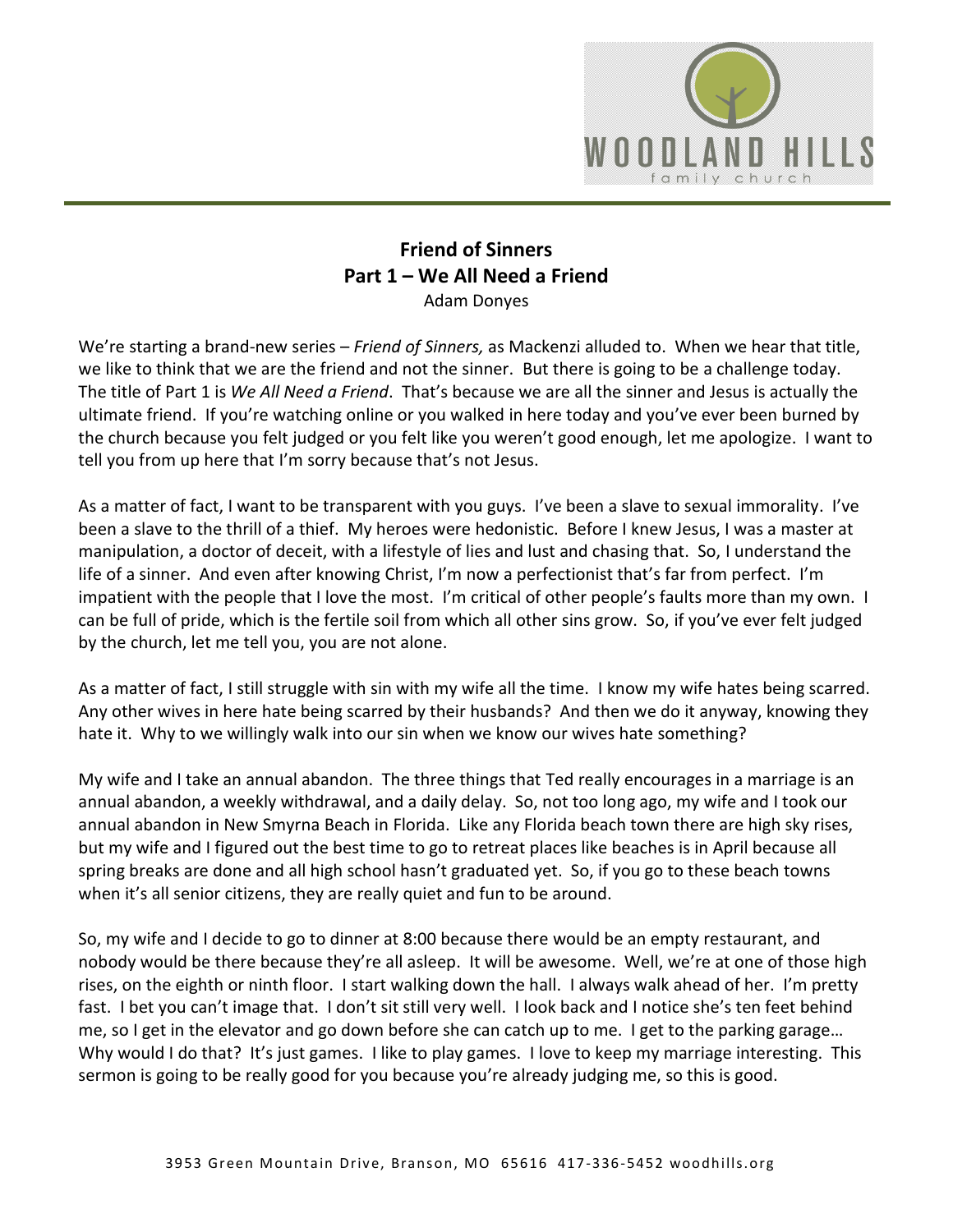

# **Friend of Sinners Part 1 – We All Need a Friend**  Adam Donyes

We're starting a brand-new series – *Friend of Sinners,* as Mackenzi alluded to. When we hear that title, we like to think that we are the friend and not the sinner. But there is going to be a challenge today. The title of Part 1 is *We All Need a Friend*. That's because we are all the sinner and Jesus is actually the ultimate friend. If you're watching online or you walked in here today and you've ever been burned by the church because you felt judged or you felt like you weren't good enough, let me apologize. I want to tell you from up here that I'm sorry because that's not Jesus.

As a matter of fact, I want to be transparent with you guys. I've been a slave to sexual immorality. I've been a slave to the thrill of a thief. My heroes were hedonistic. Before I knew Jesus, I was a master at manipulation, a doctor of deceit, with a lifestyle of lies and lust and chasing that. So, I understand the life of a sinner. And even after knowing Christ, I'm now a perfectionist that's far from perfect. I'm impatient with the people that I love the most. I'm critical of other people's faults more than my own. I can be full of pride, which is the fertile soil from which all other sins grow. So, if you've ever felt judged by the church, let me tell you, you are not alone.

As a matter of fact, I still struggle with sin with my wife all the time. I know my wife hates being scarred. Any other wives in here hate being scarred by their husbands? And then we do it anyway, knowing they hate it. Why to we willingly walk into our sin when we know our wives hate something?

My wife and I take an annual abandon. The three things that Ted really encourages in a marriage is an annual abandon, a weekly withdrawal, and a daily delay. So, not too long ago, my wife and I took our annual abandon in New Smyrna Beach in Florida. Like any Florida beach town there are high sky rises, but my wife and I figured out the best time to go to retreat places like beaches is in April because all spring breaks are done and all high school hasn't graduated yet. So, if you go to these beach towns when it's all senior citizens, they are really quiet and fun to be around.

So, my wife and I decide to go to dinner at 8:00 because there would be an empty restaurant, and nobody would be there because they're all asleep. It will be awesome. Well, we're at one of those high rises, on the eighth or ninth floor. I start walking down the hall. I always walk ahead of her. I'm pretty fast. I bet you can't image that. I don't sit still very well. I look back and I notice she's ten feet behind me, so I get in the elevator and go down before she can catch up to me. I get to the parking garage… Why would I do that? It's just games. I like to play games. I love to keep my marriage interesting. This sermon is going to be really good for you because you're already judging me, so this is good.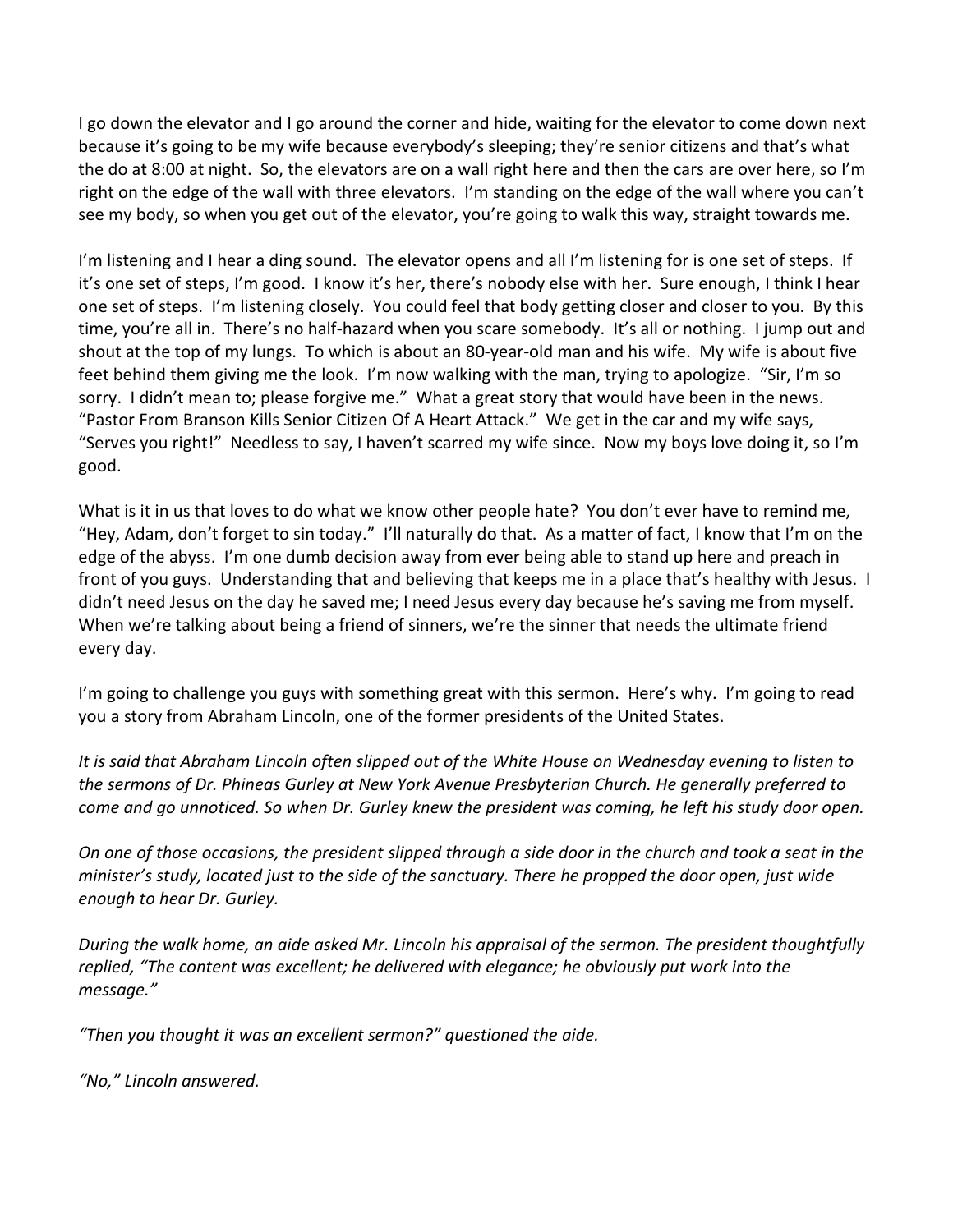I go down the elevator and I go around the corner and hide, waiting for the elevator to come down next because it's going to be my wife because everybody's sleeping; they're senior citizens and that's what the do at 8:00 at night. So, the elevators are on a wall right here and then the cars are over here, so I'm right on the edge of the wall with three elevators. I'm standing on the edge of the wall where you can't see my body, so when you get out of the elevator, you're going to walk this way, straight towards me.

I'm listening and I hear a ding sound. The elevator opens and all I'm listening for is one set of steps. If it's one set of steps, I'm good. I know it's her, there's nobody else with her. Sure enough, I think I hear one set of steps. I'm listening closely. You could feel that body getting closer and closer to you. By this time, you're all in. There's no half-hazard when you scare somebody. It's all or nothing. I jump out and shout at the top of my lungs. To which is about an 80-year-old man and his wife. My wife is about five feet behind them giving me the look. I'm now walking with the man, trying to apologize. "Sir, I'm so sorry. I didn't mean to; please forgive me." What a great story that would have been in the news. "Pastor From Branson Kills Senior Citizen Of A Heart Attack." We get in the car and my wife says, "Serves you right!" Needless to say, I haven't scarred my wife since. Now my boys love doing it, so I'm good.

What is it in us that loves to do what we know other people hate? You don't ever have to remind me, "Hey, Adam, don't forget to sin today." I'll naturally do that. As a matter of fact, I know that I'm on the edge of the abyss. I'm one dumb decision away from ever being able to stand up here and preach in front of you guys. Understanding that and believing that keeps me in a place that's healthy with Jesus. I didn't need Jesus on the day he saved me; I need Jesus every day because he's saving me from myself. When we're talking about being a friend of sinners, we're the sinner that needs the ultimate friend every day.

I'm going to challenge you guys with something great with this sermon. Here's why. I'm going to read you a story from Abraham Lincoln, one of the former presidents of the United States.

*It is said that Abraham Lincoln often slipped out of the White House on Wednesday evening to listen to the sermons of Dr. Phineas Gurley at New York Avenue Presbyterian Church. He generally preferred to come and go unnoticed. So when Dr. Gurley knew the president was coming, he left his study door open.* 

*On one of those occasions, the president slipped through a side door in the church and took a seat in the minister's study, located just to the side of the sanctuary. There he propped the door open, just wide enough to hear Dr. Gurley.* 

*During the walk home, an aide asked Mr. Lincoln his appraisal of the sermon. The president thoughtfully replied, "The content was excellent; he delivered with elegance; he obviously put work into the message."*

*"Then you thought it was an excellent sermon?" questioned the aide.*

*"No," Lincoln answered.*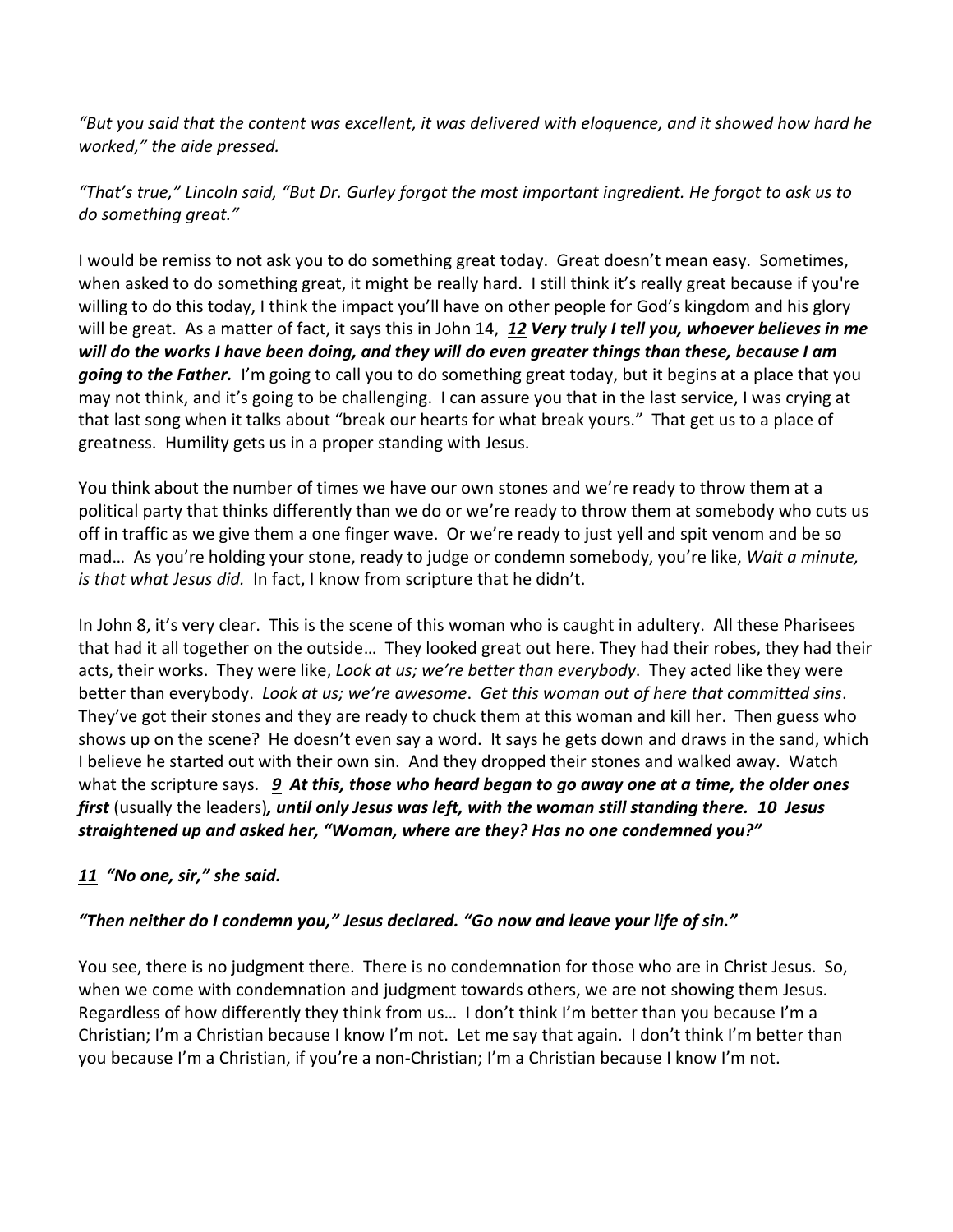*"But you said that the content was excellent, it was delivered with eloquence, and it showed how hard he worked," the aide pressed.*

*"That's true," Lincoln said, "But Dr. Gurley forgot the most important ingredient. He forgot to ask us to do something great."*

I would be remiss to not ask you to do something great today. Great doesn't mean easy. Sometimes, when asked to do something great, it might be really hard. I still think it's really great because if you're willing to do this today, I think the impact you'll have on other people for God's kingdom and his glory will be great. As a matter of fact, it says this in John 14, *[12](https://www.studylight.org/desk/?q=joh%2014:12&t1=en_niv&sr=1) Very truly I tell you, whoever believes in me will do the works I have been doing, and they will do even greater things than these, because I am going to the Father.* I'm going to call you to do something great today, but it begins at a place that you may not think, and it's going to be challenging. I can assure you that in the last service, I was crying at that last song when it talks about "break our hearts for what break yours." That get us to a place of greatness. Humility gets us in a proper standing with Jesus.

You think about the number of times we have our own stones and we're ready to throw them at a political party that thinks differently than we do or we're ready to throw them at somebody who cuts us off in traffic as we give them a one finger wave. Or we're ready to just yell and spit venom and be so mad… As you're holding your stone, ready to judge or condemn somebody, you're like, *Wait a minute, is that what Jesus did.* In fact, I know from scripture that he didn't.

In John 8, it's very clear. This is the scene of this woman who is caught in adultery. All these Pharisees that had it all together on the outside… They looked great out here. They had their robes, they had their acts, their works. They were like, *Look at us; we're better than everybody*. They acted like they were better than everybody. *Look at us; we're awesome*. *Get this woman out of here that committed sins*. They've got their stones and they are ready to chuck them at this woman and kill her. Then guess who shows up on the scene? He doesn't even say a word. It says he gets down and draws in the sand, which I believe he started out with their own sin. And they dropped their stones and walked away. Watch what the scripture says. *[9](https://www.studylight.org/desk/?q=joh%208:9&t1=en_niv&sr=1) At this, those who heard began to go away one at a time, the older ones first* (usually the leaders)*, until only Jesus was left, with the woman still standing there. [10](https://www.studylight.org/desk/?q=joh%208:10&t1=en_niv&sr=1) Jesus straightened up and asked her, "Woman, where are they? Has no one condemned you?"*

## *[11](https://www.studylight.org/desk/?q=joh%208:11&t1=en_niv&sr=1) "No one, sir," she said.*

## *"Then neither do I condemn you," Jesus declared. "Go now and leave your life of sin."*

You see, there is no judgment there. There is no condemnation for those who are in Christ Jesus. So, when we come with condemnation and judgment towards others, we are not showing them Jesus. Regardless of how differently they think from us… I don't think I'm better than you because I'm a Christian; I'm a Christian because I know I'm not. Let me say that again. I don't think I'm better than you because I'm a Christian, if you're a non-Christian; I'm a Christian because I know I'm not.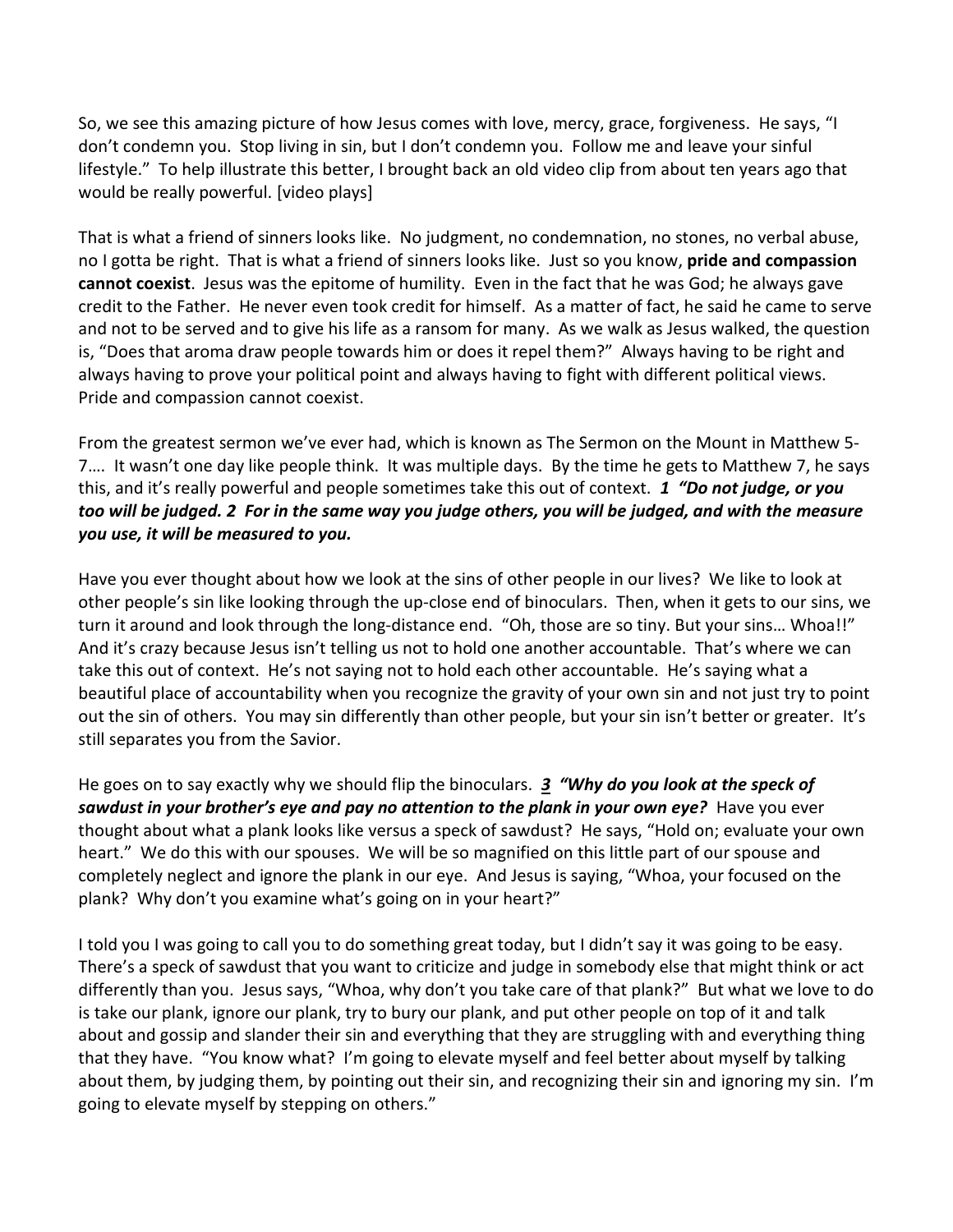So, we see this amazing picture of how Jesus comes with love, mercy, grace, forgiveness. He says, "I don't condemn you. Stop living in sin, but I don't condemn you. Follow me and leave your sinful lifestyle." To help illustrate this better, I brought back an old video clip from about ten years ago that would be really powerful. [video plays]

That is what a friend of sinners looks like. No judgment, no condemnation, no stones, no verbal abuse, no I gotta be right. That is what a friend of sinners looks like. Just so you know, **pride and compassion cannot coexist**. Jesus was the epitome of humility. Even in the fact that he was God; he always gave credit to the Father. He never even took credit for himself. As a matter of fact, he said he came to serve and not to be served and to give his life as a ransom for many. As we walk as Jesus walked, the question is, "Does that aroma draw people towards him or does it repel them?" Always having to be right and always having to prove your political point and always having to fight with different political views. Pride and compassion cannot coexist.

From the greatest sermon we've ever had, which is known as The Sermon on the Mount in Matthew 5- 7…. It wasn't one day like people think. It was multiple days. By the time he gets to Matthew 7, he says this, and it's really powerful and people sometimes take this out of context. *[1](https://www.studylight.org/desk/?q=mt%207:1&t1=en_niv&sr=1) "Do not judge, or you too will be judged. [2](https://www.studylight.org/desk/?q=mt%207:2&t1=en_niv&sr=1) For in the same way you judge others, you will be judged, and with the measure you use, it will be measured to you.*

Have you ever thought about how we look at the sins of other people in our lives? We like to look at other people's sin like looking through the up-close end of binoculars. Then, when it gets to our sins, we turn it around and look through the long-distance end. "Oh, those are so tiny. But your sins… Whoa!!" And it's crazy because Jesus isn't telling us not to hold one another accountable. That's where we can take this out of context. He's not saying not to hold each other accountable. He's saying what a beautiful place of accountability when you recognize the gravity of your own sin and not just try to point out the sin of others. You may sin differently than other people, but your sin isn't better or greater. It's still separates you from the Savior.

He goes on to say exactly why we should flip the binoculars. *[3](https://www.studylight.org/desk/?q=mt%207:3&t1=en_niv&sr=1) "Why do you look at the speck of sawdust in your brother's eye and pay no attention to the plank in your own eye?* Have you ever thought about what a plank looks like versus a speck of sawdust? He says, "Hold on; evaluate your own heart." We do this with our spouses. We will be so magnified on this little part of our spouse and completely neglect and ignore the plank in our eye. And Jesus is saying, "Whoa, your focused on the plank? Why don't you examine what's going on in your heart?"

I told you I was going to call you to do something great today, but I didn't say it was going to be easy. There's a speck of sawdust that you want to criticize and judge in somebody else that might think or act differently than you. Jesus says, "Whoa, why don't you take care of that plank?" But what we love to do is take our plank, ignore our plank, try to bury our plank, and put other people on top of it and talk about and gossip and slander their sin and everything that they are struggling with and everything thing that they have. "You know what? I'm going to elevate myself and feel better about myself by talking about them, by judging them, by pointing out their sin, and recognizing their sin and ignoring my sin. I'm going to elevate myself by stepping on others."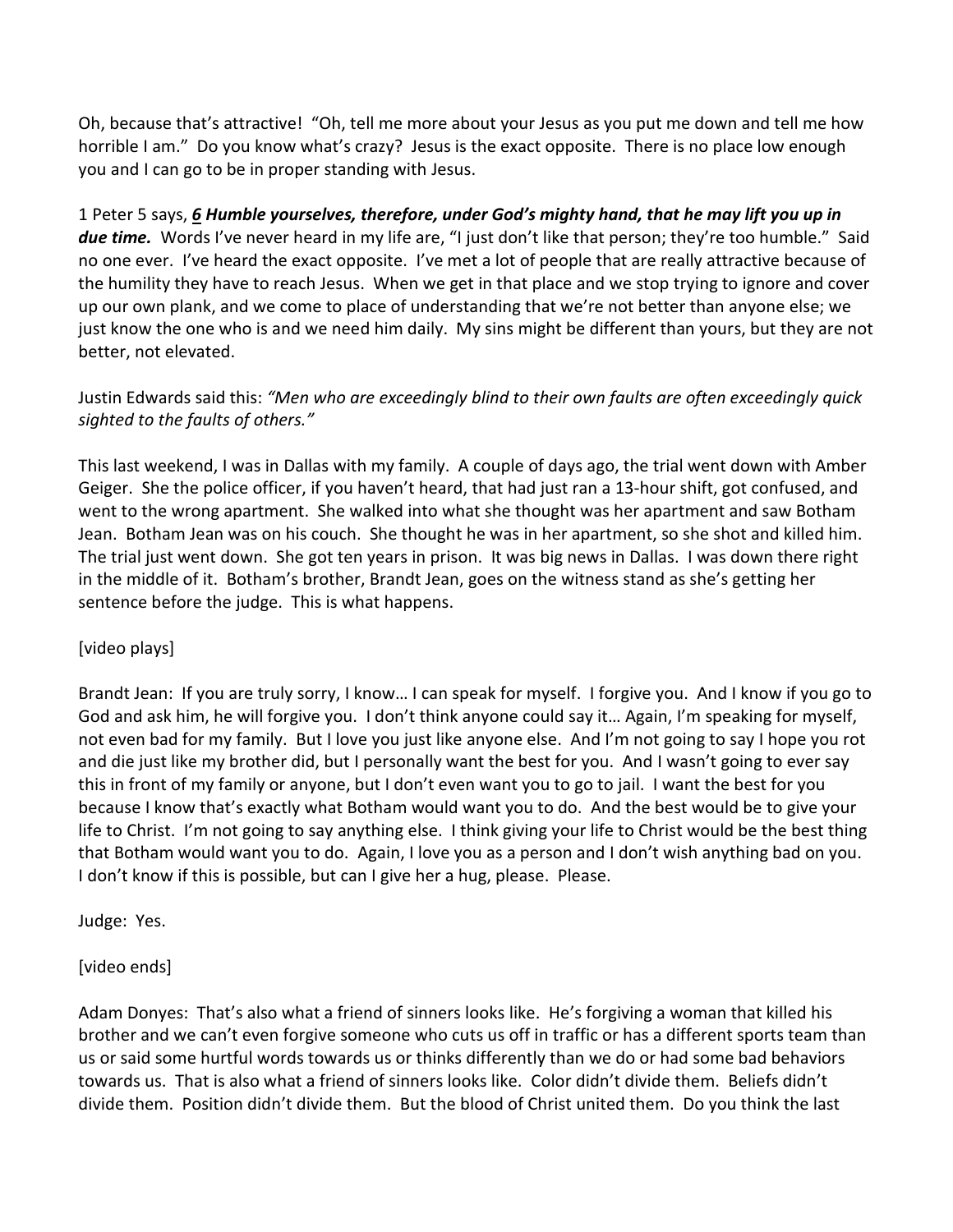Oh, because that's attractive! "Oh, tell me more about your Jesus as you put me down and tell me how horrible I am." Do you know what's crazy? Jesus is the exact opposite. There is no place low enough you and I can go to be in proper standing with Jesus.

1 Peter 5 says, *[6](https://www.studylight.org/desk/?q=1pe%205:6&t1=en_niv&sr=1) Humble yourselves, therefore, under God's mighty hand, that he may lift you up in*  due time. Words I've never heard in my life are, "I just don't like that person; they're too humble." Said no one ever. I've heard the exact opposite. I've met a lot of people that are really attractive because of the humility they have to reach Jesus. When we get in that place and we stop trying to ignore and cover up our own plank, and we come to place of understanding that we're not better than anyone else; we just know the one who is and we need him daily. My sins might be different than yours, but they are not better, not elevated.

#### Justin Edwards said this: *"Men who are exceedingly blind to their own faults are often exceedingly quick sighted to the faults of others."*

This last weekend, I was in Dallas with my family. A couple of days ago, the trial went down with Amber Geiger. She the police officer, if you haven't heard, that had just ran a 13-hour shift, got confused, and went to the wrong apartment. She walked into what she thought was her apartment and saw Botham Jean. Botham Jean was on his couch. She thought he was in her apartment, so she shot and killed him. The trial just went down. She got ten years in prison. It was big news in Dallas. I was down there right in the middle of it. Botham's brother, Brandt Jean, goes on the witness stand as she's getting her sentence before the judge. This is what happens.

#### [video plays]

Brandt Jean: If you are truly sorry, I know… I can speak for myself. I forgive you. And I know if you go to God and ask him, he will forgive you. I don't think anyone could say it… Again, I'm speaking for myself, not even bad for my family. But I love you just like anyone else. And I'm not going to say I hope you rot and die just like my brother did, but I personally want the best for you. And I wasn't going to ever say this in front of my family or anyone, but I don't even want you to go to jail. I want the best for you because I know that's exactly what Botham would want you to do. And the best would be to give your life to Christ. I'm not going to say anything else. I think giving your life to Christ would be the best thing that Botham would want you to do. Again, I love you as a person and I don't wish anything bad on you. I don't know if this is possible, but can I give her a hug, please. Please.

Judge: Yes.

[video ends]

Adam Donyes: That's also what a friend of sinners looks like. He's forgiving a woman that killed his brother and we can't even forgive someone who cuts us off in traffic or has a different sports team than us or said some hurtful words towards us or thinks differently than we do or had some bad behaviors towards us. That is also what a friend of sinners looks like. Color didn't divide them. Beliefs didn't divide them. Position didn't divide them. But the blood of Christ united them. Do you think the last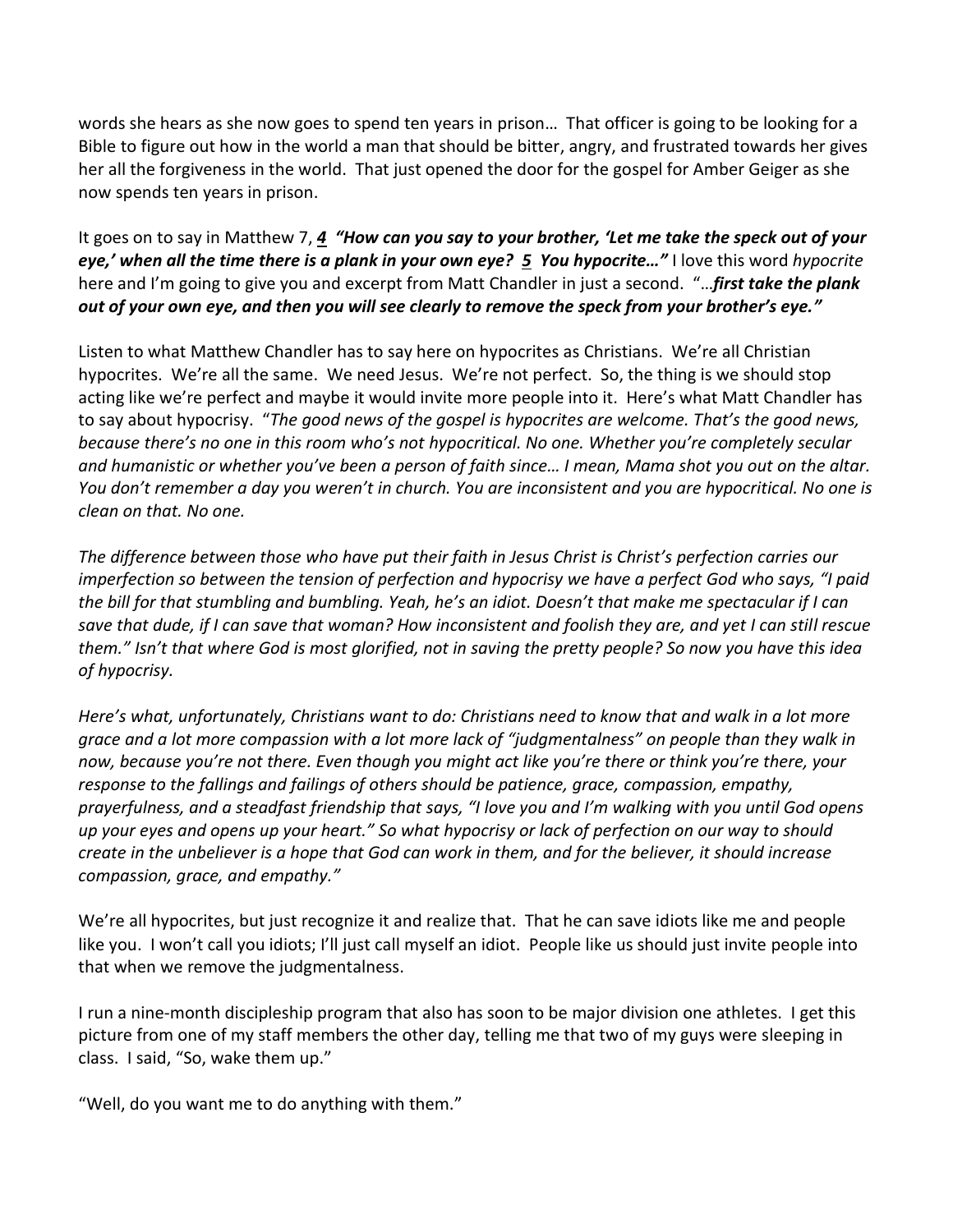words she hears as she now goes to spend ten years in prison… That officer is going to be looking for a Bible to figure out how in the world a man that should be bitter, angry, and frustrated towards her gives her all the forgiveness in the world. That just opened the door for the gospel for Amber Geiger as she now spends ten years in prison.

It goes on to say in Matthew 7, *[4](https://www.studylight.org/desk/?q=mt%207:4&t1=en_niv&sr=1) "How can you say to your brother, 'Let me take the speck out of your eye,' when all the time there is a plank in your own eye? [5](https://www.studylight.org/desk/?q=mt%207:5&t1=en_niv&sr=1) You hypocrite…"* I love this word *hypocrite* here and I'm going to give you and excerpt from Matt Chandler in just a second. "…*first take the plank out of your own eye, and then you will see clearly to remove the speck from your brother's eye."*

Listen to what Matthew Chandler has to say here on hypocrites as Christians. We're all Christian hypocrites. We're all the same. We need Jesus. We're not perfect. So, the thing is we should stop acting like we're perfect and maybe it would invite more people into it. Here's what Matt Chandler has to say about hypocrisy. "*The good news of the gospel is hypocrites are welcome. That's the good news, because there's no one in this room who's not hypocritical. No one. Whether you're completely secular and humanistic or whether you've been a person of faith since… I mean, Mama shot you out on the altar. You don't remember a day you weren't in church. You are inconsistent and you are hypocritical. No one is clean on that. No one.* 

*The difference between those who have put their faith in Jesus Christ is Christ's perfection carries our imperfection so between the tension of perfection and hypocrisy we have a perfect God who says, "I paid the bill for that stumbling and bumbling. Yeah, he's an idiot. Doesn't that make me spectacular if I can save that dude, if I can save that woman? How inconsistent and foolish they are, and yet I can still rescue them." Isn't that where God is most glorified, not in saving the pretty people? So now you have this idea of hypocrisy.* 

*Here's what, unfortunately, Christians want to do: Christians need to know that and walk in a lot more grace and a lot more compassion with a lot more lack of "judgmentalness" on people than they walk in now, because you're not there. Even though you might act like you're there or think you're there, your response to the fallings and failings of others should be patience, grace, compassion, empathy, prayerfulness, and a steadfast friendship that says, "I love you and I'm walking with you until God opens up your eyes and opens up your heart." So what hypocrisy or lack of perfection on our way to should create in the unbeliever is a hope that God can work in them, and for the believer, it should increase compassion, grace, and empathy."*

We're all hypocrites, but just recognize it and realize that. That he can save idiots like me and people like you. I won't call you idiots; I'll just call myself an idiot. People like us should just invite people into that when we remove the judgmentalness.

I run a nine-month discipleship program that also has soon to be major division one athletes. I get this picture from one of my staff members the other day, telling me that two of my guys were sleeping in class. I said, "So, wake them up."

"Well, do you want me to do anything with them."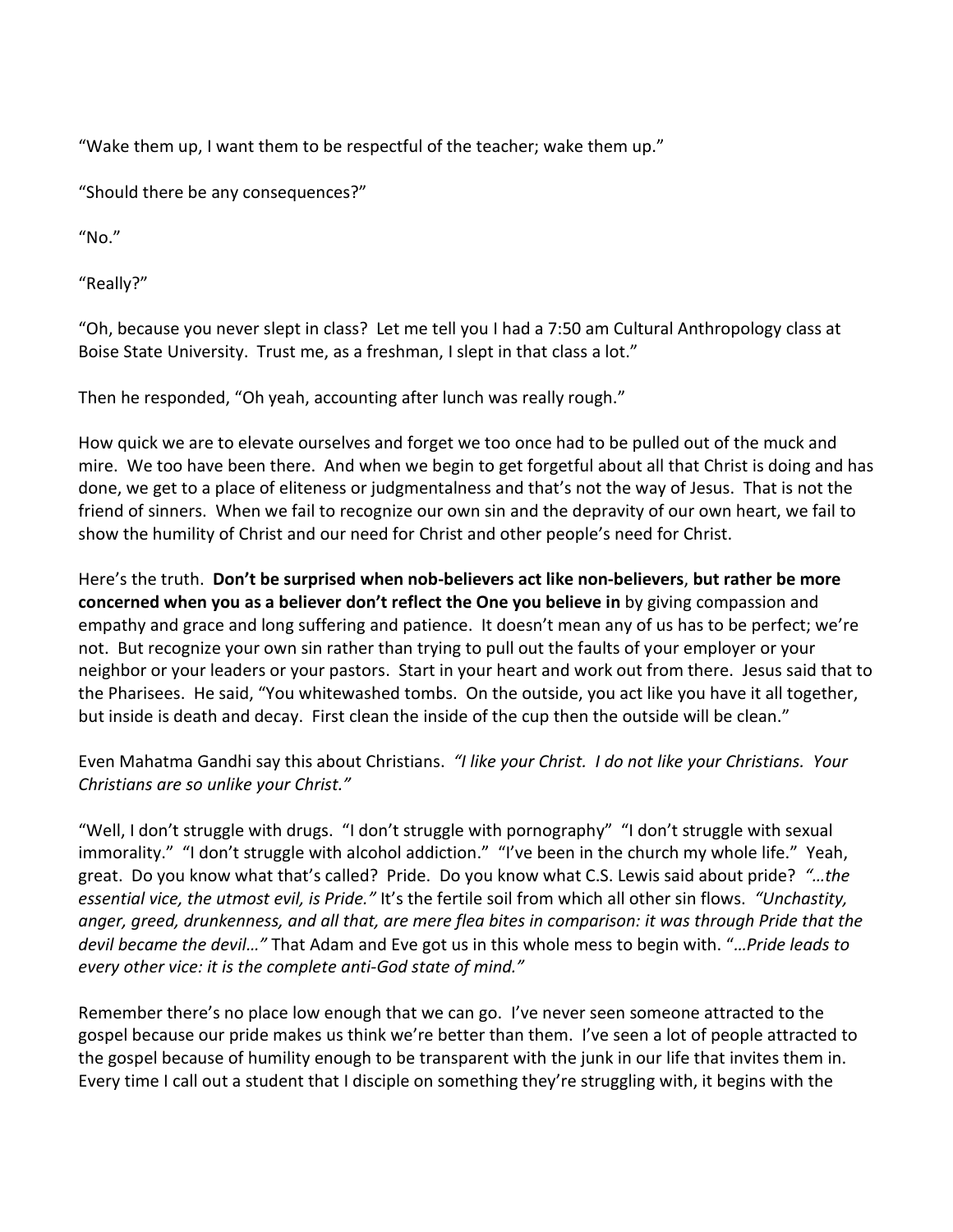"Wake them up, I want them to be respectful of the teacher; wake them up."

"Should there be any consequences?"

"No."

"Really?"

"Oh, because you never slept in class? Let me tell you I had a 7:50 am Cultural Anthropology class at Boise State University. Trust me, as a freshman, I slept in that class a lot."

Then he responded, "Oh yeah, accounting after lunch was really rough."

How quick we are to elevate ourselves and forget we too once had to be pulled out of the muck and mire. We too have been there. And when we begin to get forgetful about all that Christ is doing and has done, we get to a place of eliteness or judgmentalness and that's not the way of Jesus. That is not the friend of sinners. When we fail to recognize our own sin and the depravity of our own heart, we fail to show the humility of Christ and our need for Christ and other people's need for Christ.

Here's the truth. **Don't be surprised when nob-believers act like non-believers**, **but rather be more concerned when you as a believer don't reflect the One you believe in** by giving compassion and empathy and grace and long suffering and patience. It doesn't mean any of us has to be perfect; we're not. But recognize your own sin rather than trying to pull out the faults of your employer or your neighbor or your leaders or your pastors. Start in your heart and work out from there. Jesus said that to the Pharisees. He said, "You whitewashed tombs. On the outside, you act like you have it all together, but inside is death and decay. First clean the inside of the cup then the outside will be clean."

Even Mahatma Gandhi say this about Christians. *"I like your Christ. I do not like your Christians. Your Christians are so unlike your Christ."*

"Well, I don't struggle with drugs. "I don't struggle with pornography" "I don't struggle with sexual immorality." "I don't struggle with alcohol addiction." "I've been in the church my whole life." Yeah, great. Do you know what that's called? Pride. Do you know what C.S. Lewis said about pride? *"…the essential vice, the utmost evil, is Pride."* It's the fertile soil from which all other sin flows. *"Unchastity, anger, greed, drunkenness, and all that, are mere flea bites in comparison: it was through Pride that the devil became the devil…"* That Adam and Eve got us in this whole mess to begin with. "*…Pride leads to every other vice: it is the complete anti-God state of mind."*

Remember there's no place low enough that we can go. I've never seen someone attracted to the gospel because our pride makes us think we're better than them. I've seen a lot of people attracted to the gospel because of humility enough to be transparent with the junk in our life that invites them in. Every time I call out a student that I disciple on something they're struggling with, it begins with the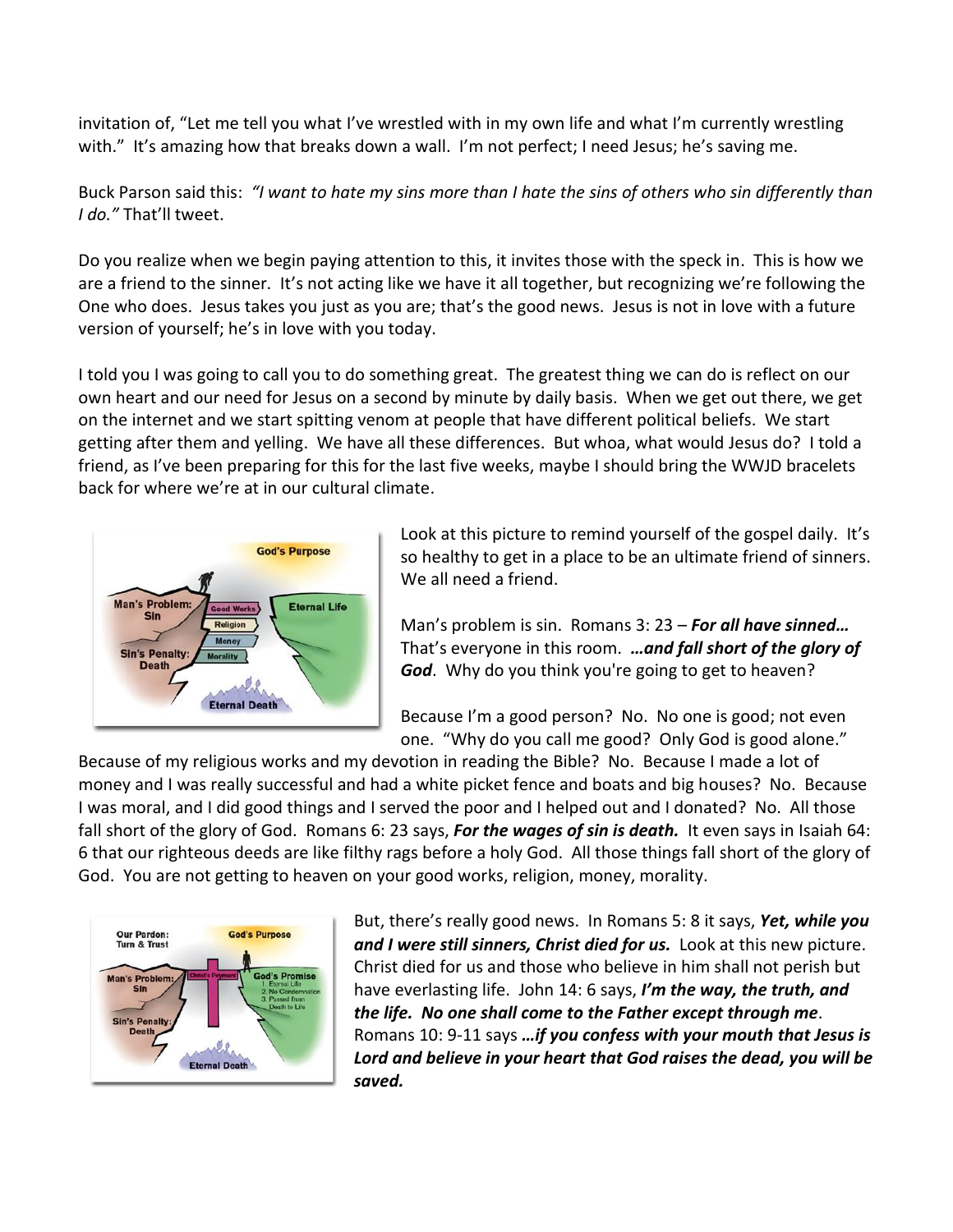invitation of, "Let me tell you what I've wrestled with in my own life and what I'm currently wrestling with." It's amazing how that breaks down a wall. I'm not perfect; I need Jesus; he's saving me.

Buck Parson said this: *"I want to hate my sins more than I hate the sins of others who sin differently than I do."* That'll tweet.

Do you realize when we begin paying attention to this, it invites those with the speck in. This is how we are a friend to the sinner. It's not acting like we have it all together, but recognizing we're following the One who does. Jesus takes you just as you are; that's the good news. Jesus is not in love with a future version of yourself; he's in love with you today.

I told you I was going to call you to do something great. The greatest thing we can do is reflect on our own heart and our need for Jesus on a second by minute by daily basis. When we get out there, we get on the internet and we start spitting venom at people that have different political beliefs. We start getting after them and yelling. We have all these differences. But whoa, what would Jesus do? I told a friend, as I've been preparing for this for the last five weeks, maybe I should bring the WWJD bracelets back for where we're at in our cultural climate.



Look at this picture to remind yourself of the gospel daily. It's so healthy to get in a place to be an ultimate friend of sinners. We all need a friend.

Man's problem is sin. Romans 3: 23 – *For all have sinned…* That's everyone in this room. *…and fall short of the glory of God*. Why do you think you're going to get to heaven?

Because I'm a good person? No. No one is good; not even one. "Why do you call me good? Only God is good alone."

Because of my religious works and my devotion in reading the Bible? No. Because I made a lot of money and I was really successful and had a white picket fence and boats and big houses? No. Because I was moral, and I did good things and I served the poor and I helped out and I donated? No. All those fall short of the glory of God. Romans 6: 23 says, *For the wages of sin is death.* It even says in Isaiah 64: 6 that our righteous deeds are like filthy rags before a holy God. All those things fall short of the glory of God. You are not getting to heaven on your good works, religion, money, morality.



But, there's really good news. In Romans 5: 8 it says, *Yet, while you and I were still sinners, Christ died for us.* Look at this new picture. Christ died for us and those who believe in him shall not perish but have everlasting life. John 14: 6 says, *I'm the way, the truth, and the life. No one shall come to the Father except through me*. Romans 10: 9-11 says *…if you confess with your mouth that Jesus is Lord and believe in your heart that God raises the dead, you will be saved.*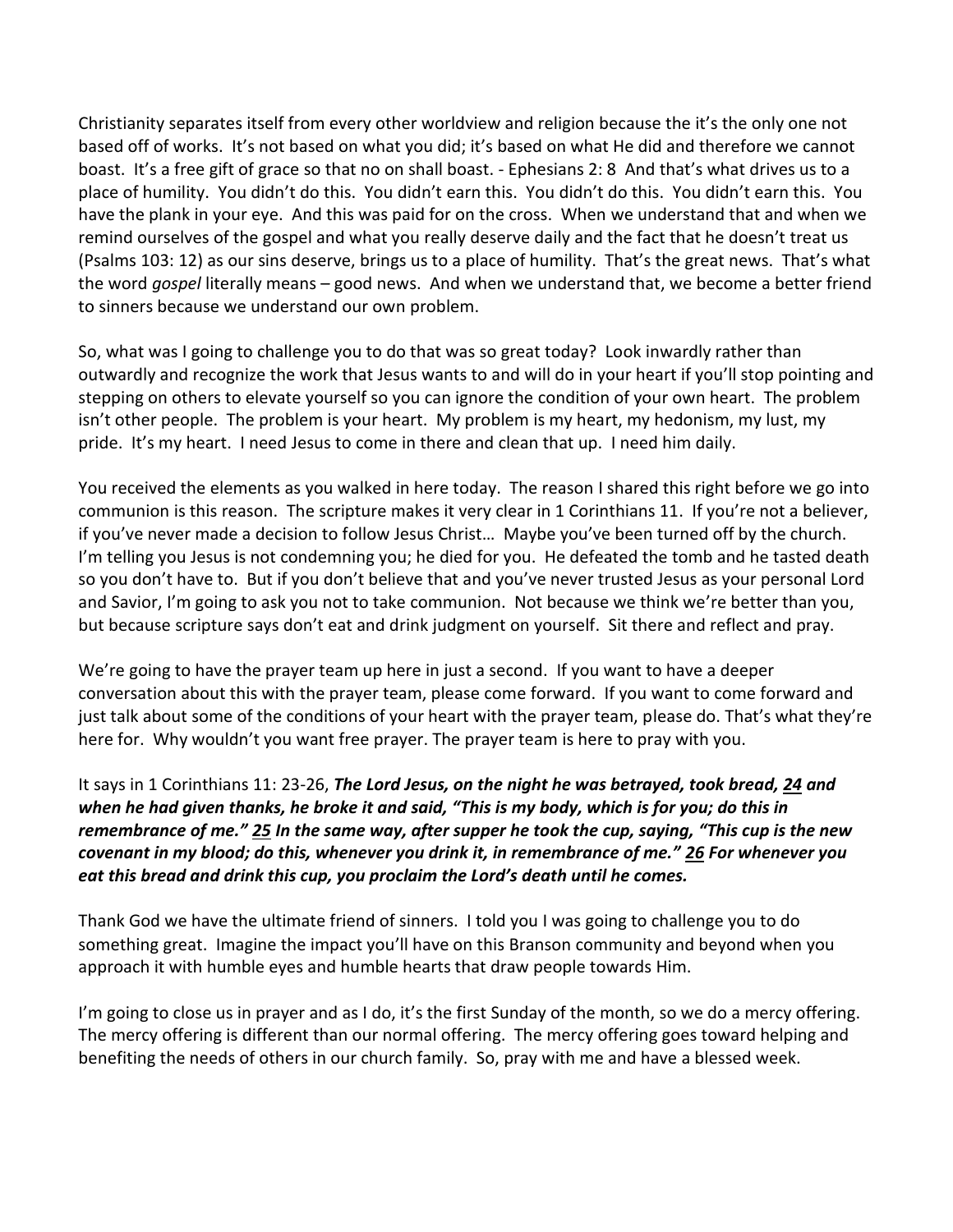Christianity separates itself from every other worldview and religion because the it's the only one not based off of works. It's not based on what you did; it's based on what He did and therefore we cannot boast. It's a free gift of grace so that no on shall boast. - Ephesians 2: 8 And that's what drives us to a place of humility. You didn't do this. You didn't earn this. You didn't do this. You didn't earn this. You have the plank in your eye. And this was paid for on the cross. When we understand that and when we remind ourselves of the gospel and what you really deserve daily and the fact that he doesn't treat us (Psalms 103: 12) as our sins deserve, brings us to a place of humility. That's the great news. That's what the word *gospel* literally means – good news. And when we understand that, we become a better friend to sinners because we understand our own problem.

So, what was I going to challenge you to do that was so great today? Look inwardly rather than outwardly and recognize the work that Jesus wants to and will do in your heart if you'll stop pointing and stepping on others to elevate yourself so you can ignore the condition of your own heart. The problem isn't other people. The problem is your heart. My problem is my heart, my hedonism, my lust, my pride. It's my heart. I need Jesus to come in there and clean that up. I need him daily.

You received the elements as you walked in here today. The reason I shared this right before we go into communion is this reason. The scripture makes it very clear in 1 Corinthians 11. If you're not a believer, if you've never made a decision to follow Jesus Christ… Maybe you've been turned off by the church. I'm telling you Jesus is not condemning you; he died for you. He defeated the tomb and he tasted death so you don't have to. But if you don't believe that and you've never trusted Jesus as your personal Lord and Savior, I'm going to ask you not to take communion. Not because we think we're better than you, but because scripture says don't eat and drink judgment on yourself. Sit there and reflect and pray.

We're going to have the prayer team up here in just a second. If you want to have a deeper conversation about this with the prayer team, please come forward. If you want to come forward and just talk about some of the conditions of your heart with the prayer team, please do. That's what they're here for. Why wouldn't you want free prayer. The prayer team is here to pray with you.

It says in 1 Corinthians 11: 23-26, *The Lord Jesus, on the night he was betrayed, took bread, [24](https://www.studylight.org/desk/?q=1co%2011:24&t1=en_niv&sr=1) and when he had given thanks, he broke it and said, "This is my body, which is for you; do this in remembrance of me." [25](https://www.studylight.org/desk/?q=1co%2011:25&t1=en_niv&sr=1) In the same way, after supper he took the cup, saying, "This cup is the new covenant in my blood; do this, whenever you drink it, in remembrance of me." [26](https://www.studylight.org/desk/?q=1co%2011:26&t1=en_niv&sr=1) For whenever you eat this bread and drink this cup, you proclaim the Lord's death until he comes.*

Thank God we have the ultimate friend of sinners. I told you I was going to challenge you to do something great. Imagine the impact you'll have on this Branson community and beyond when you approach it with humble eyes and humble hearts that draw people towards Him.

I'm going to close us in prayer and as I do, it's the first Sunday of the month, so we do a mercy offering. The mercy offering is different than our normal offering. The mercy offering goes toward helping and benefiting the needs of others in our church family. So, pray with me and have a blessed week.